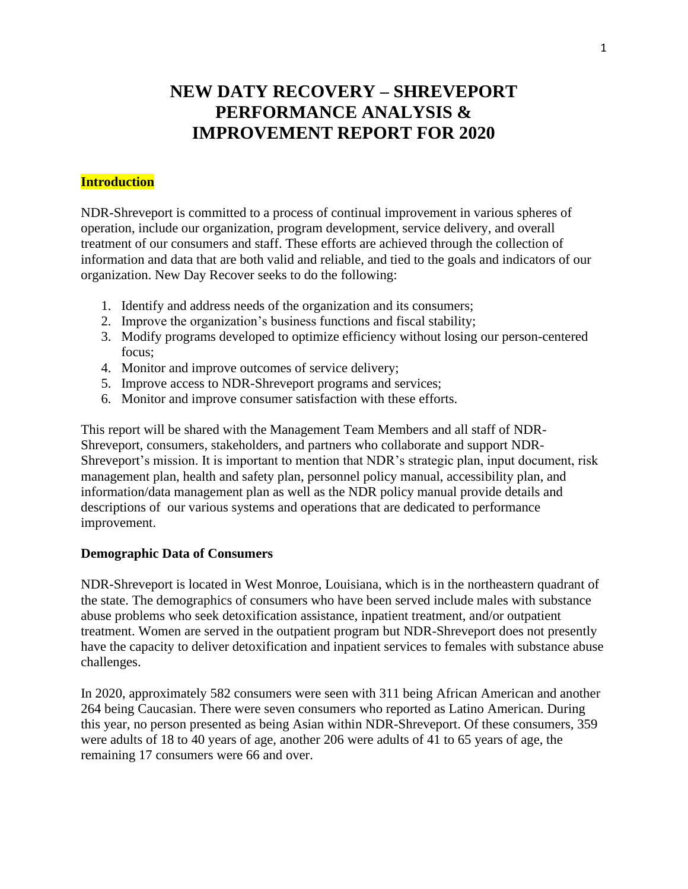# **NEW DATY RECOVERY – SHREVEPORT PERFORMANCE ANALYSIS & IMPROVEMENT REPORT FOR 2020**

#### **Introduction**

NDR-Shreveport is committed to a process of continual improvement in various spheres of operation, include our organization, program development, service delivery, and overall treatment of our consumers and staff. These efforts are achieved through the collection of information and data that are both valid and reliable, and tied to the goals and indicators of our organization. New Day Recover seeks to do the following:

- 1. Identify and address needs of the organization and its consumers;
- 2. Improve the organization's business functions and fiscal stability;
- 3. Modify programs developed to optimize efficiency without losing our person-centered focus;
- 4. Monitor and improve outcomes of service delivery;
- 5. Improve access to NDR-Shreveport programs and services;
- 6. Monitor and improve consumer satisfaction with these efforts.

This report will be shared with the Management Team Members and all staff of NDR-Shreveport, consumers, stakeholders, and partners who collaborate and support NDR-Shreveport's mission. It is important to mention that NDR's strategic plan, input document, risk management plan, health and safety plan, personnel policy manual, accessibility plan, and information/data management plan as well as the NDR policy manual provide details and descriptions of our various systems and operations that are dedicated to performance improvement.

#### **Demographic Data of Consumers**

NDR-Shreveport is located in West Monroe, Louisiana, which is in the northeastern quadrant of the state. The demographics of consumers who have been served include males with substance abuse problems who seek detoxification assistance, inpatient treatment, and/or outpatient treatment. Women are served in the outpatient program but NDR-Shreveport does not presently have the capacity to deliver detoxification and inpatient services to females with substance abuse challenges.

In 2020, approximately 582 consumers were seen with 311 being African American and another 264 being Caucasian. There were seven consumers who reported as Latino American. During this year, no person presented as being Asian within NDR-Shreveport. Of these consumers, 359 were adults of 18 to 40 years of age, another 206 were adults of 41 to 65 years of age, the remaining 17 consumers were 66 and over.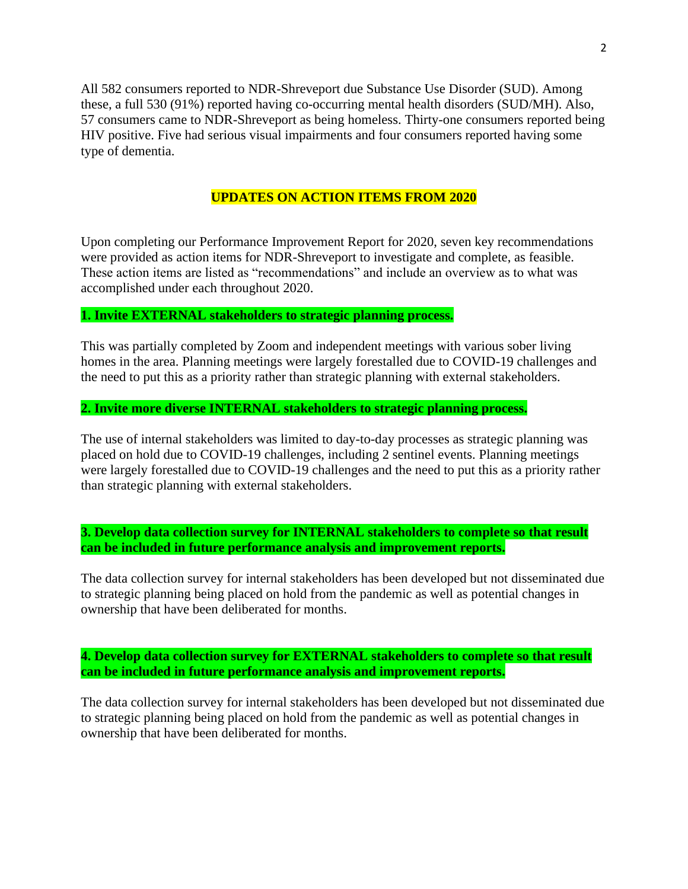All 582 consumers reported to NDR-Shreveport due Substance Use Disorder (SUD). Among these, a full 530 (91%) reported having co-occurring mental health disorders (SUD/MH). Also, 57 consumers came to NDR-Shreveport as being homeless. Thirty-one consumers reported being HIV positive. Five had serious visual impairments and four consumers reported having some type of dementia.

# **UPDATES ON ACTION ITEMS FROM 2020**

Upon completing our Performance Improvement Report for 2020, seven key recommendations were provided as action items for NDR-Shreveport to investigate and complete, as feasible. These action items are listed as "recommendations" and include an overview as to what was accomplished under each throughout 2020.

#### **1. Invite EXTERNAL stakeholders to strategic planning process.**

This was partially completed by Zoom and independent meetings with various sober living homes in the area. Planning meetings were largely forestalled due to COVID-19 challenges and the need to put this as a priority rather than strategic planning with external stakeholders.

#### **2. Invite more diverse INTERNAL stakeholders to strategic planning process.**

The use of internal stakeholders was limited to day-to-day processes as strategic planning was placed on hold due to COVID-19 challenges, including 2 sentinel events. Planning meetings were largely forestalled due to COVID-19 challenges and the need to put this as a priority rather than strategic planning with external stakeholders.

**3. Develop data collection survey for INTERNAL stakeholders to complete so that result can be included in future performance analysis and improvement reports.**

The data collection survey for internal stakeholders has been developed but not disseminated due to strategic planning being placed on hold from the pandemic as well as potential changes in ownership that have been deliberated for months.

**4. Develop data collection survey for EXTERNAL stakeholders to complete so that result can be included in future performance analysis and improvement reports.**

The data collection survey for internal stakeholders has been developed but not disseminated due to strategic planning being placed on hold from the pandemic as well as potential changes in ownership that have been deliberated for months.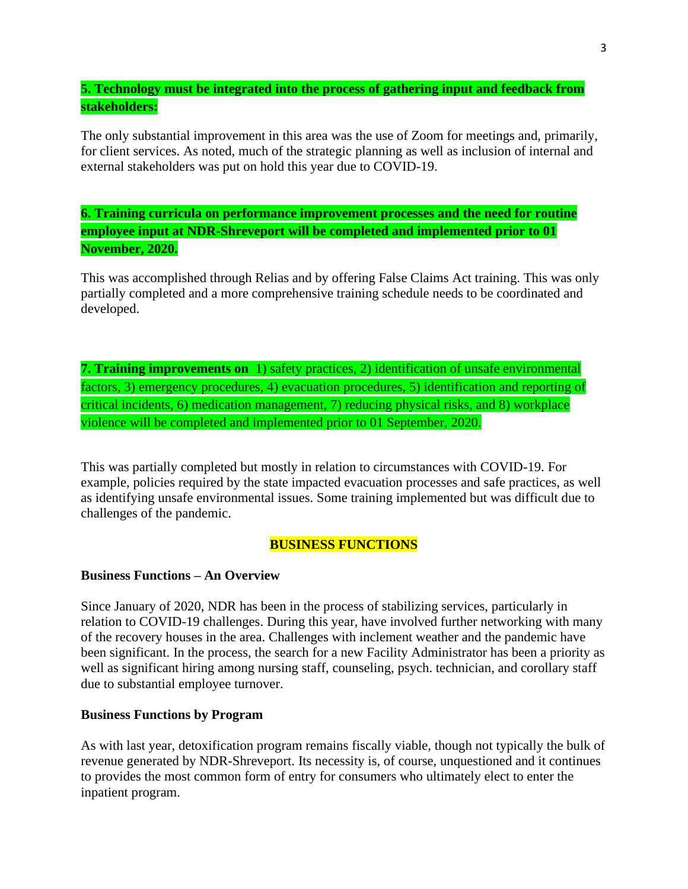# **5. Technology must be integrated into the process of gathering input and feedback from stakeholders:**

The only substantial improvement in this area was the use of Zoom for meetings and, primarily, for client services. As noted, much of the strategic planning as well as inclusion of internal and external stakeholders was put on hold this year due to COVID-19.

**6. Training curricula on performance improvement processes and the need for routine employee input at NDR-Shreveport will be completed and implemented prior to 01 November, 2020.**

This was accomplished through Relias and by offering False Claims Act training. This was only partially completed and a more comprehensive training schedule needs to be coordinated and developed.

**7. Training improvements on** 1) safety practices, 2) identification of unsafe environmental factors, 3) emergency procedures, 4) evacuation procedures, 5) identification and reporting of critical incidents, 6) medication management, 7) reducing physical risks, and 8) workplace violence will be completed and implemented prior to 01 September, 2020.

This was partially completed but mostly in relation to circumstances with COVID-19. For example, policies required by the state impacted evacuation processes and safe practices, as well as identifying unsafe environmental issues. Some training implemented but was difficult due to challenges of the pandemic.

### **BUSINESS FUNCTIONS**

### **Business Functions – An Overview**

Since January of 2020, NDR has been in the process of stabilizing services, particularly in relation to COVID-19 challenges. During this year, have involved further networking with many of the recovery houses in the area. Challenges with inclement weather and the pandemic have been significant. In the process, the search for a new Facility Administrator has been a priority as well as significant hiring among nursing staff, counseling, psych. technician, and corollary staff due to substantial employee turnover.

#### **Business Functions by Program**

As with last year, detoxification program remains fiscally viable, though not typically the bulk of revenue generated by NDR-Shreveport. Its necessity is, of course, unquestioned and it continues to provides the most common form of entry for consumers who ultimately elect to enter the inpatient program.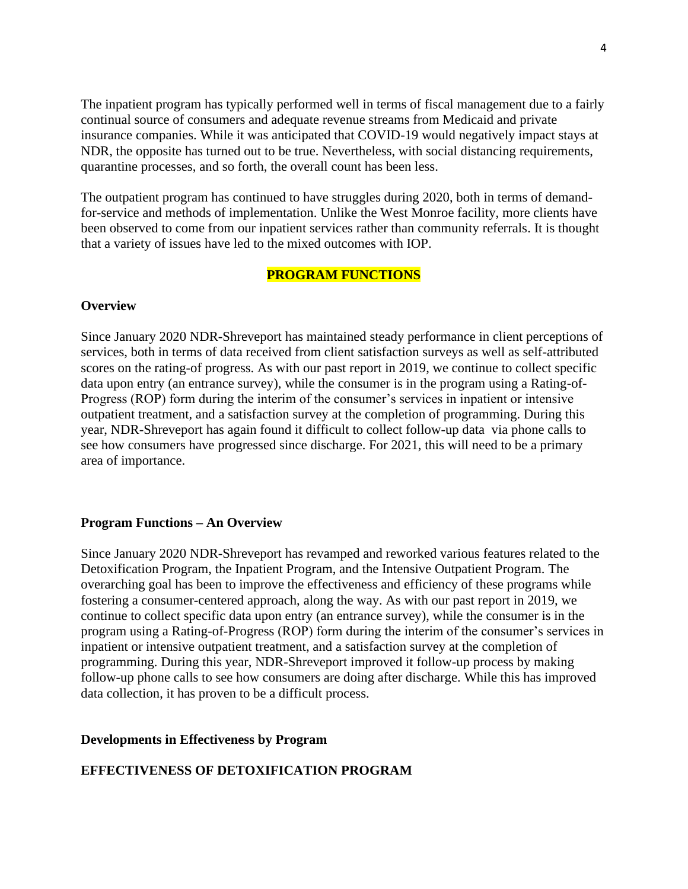The inpatient program has typically performed well in terms of fiscal management due to a fairly continual source of consumers and adequate revenue streams from Medicaid and private insurance companies. While it was anticipated that COVID-19 would negatively impact stays at NDR, the opposite has turned out to be true. Nevertheless, with social distancing requirements, quarantine processes, and so forth, the overall count has been less.

The outpatient program has continued to have struggles during 2020, both in terms of demandfor-service and methods of implementation. Unlike the West Monroe facility, more clients have been observed to come from our inpatient services rather than community referrals. It is thought that a variety of issues have led to the mixed outcomes with IOP.

#### **PROGRAM FUNCTIONS**

#### **Overview**

Since January 2020 NDR-Shreveport has maintained steady performance in client perceptions of services, both in terms of data received from client satisfaction surveys as well as self-attributed scores on the rating-of progress. As with our past report in 2019, we continue to collect specific data upon entry (an entrance survey), while the consumer is in the program using a Rating-of-Progress (ROP) form during the interim of the consumer's services in inpatient or intensive outpatient treatment, and a satisfaction survey at the completion of programming. During this year, NDR-Shreveport has again found it difficult to collect follow-up data via phone calls to see how consumers have progressed since discharge. For 2021, this will need to be a primary area of importance.

#### **Program Functions – An Overview**

Since January 2020 NDR-Shreveport has revamped and reworked various features related to the Detoxification Program, the Inpatient Program, and the Intensive Outpatient Program. The overarching goal has been to improve the effectiveness and efficiency of these programs while fostering a consumer-centered approach, along the way. As with our past report in 2019, we continue to collect specific data upon entry (an entrance survey), while the consumer is in the program using a Rating-of-Progress (ROP) form during the interim of the consumer's services in inpatient or intensive outpatient treatment, and a satisfaction survey at the completion of programming. During this year, NDR-Shreveport improved it follow-up process by making follow-up phone calls to see how consumers are doing after discharge. While this has improved data collection, it has proven to be a difficult process.

#### **Developments in Effectiveness by Program**

### **EFFECTIVENESS OF DETOXIFICATION PROGRAM**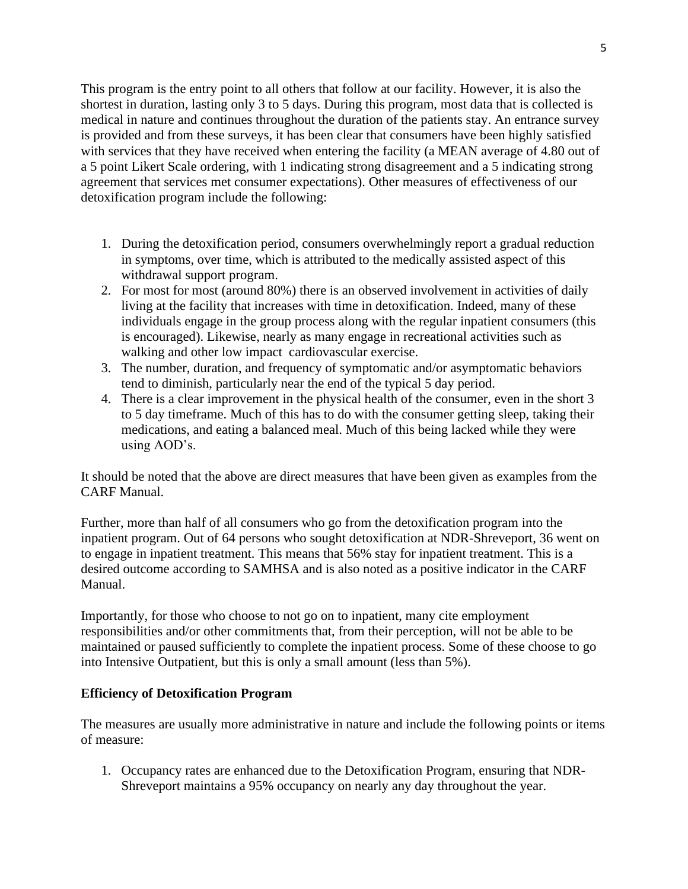This program is the entry point to all others that follow at our facility. However, it is also the shortest in duration, lasting only 3 to 5 days. During this program, most data that is collected is medical in nature and continues throughout the duration of the patients stay. An entrance survey is provided and from these surveys, it has been clear that consumers have been highly satisfied with services that they have received when entering the facility (a MEAN average of 4.80 out of a 5 point Likert Scale ordering, with 1 indicating strong disagreement and a 5 indicating strong agreement that services met consumer expectations). Other measures of effectiveness of our detoxification program include the following:

- 1. During the detoxification period, consumers overwhelmingly report a gradual reduction in symptoms, over time, which is attributed to the medically assisted aspect of this withdrawal support program.
- 2. For most for most (around 80%) there is an observed involvement in activities of daily living at the facility that increases with time in detoxification. Indeed, many of these individuals engage in the group process along with the regular inpatient consumers (this is encouraged). Likewise, nearly as many engage in recreational activities such as walking and other low impact cardiovascular exercise.
- 3. The number, duration, and frequency of symptomatic and/or asymptomatic behaviors tend to diminish, particularly near the end of the typical 5 day period.
- 4. There is a clear improvement in the physical health of the consumer, even in the short 3 to 5 day timeframe. Much of this has to do with the consumer getting sleep, taking their medications, and eating a balanced meal. Much of this being lacked while they were using AOD's.

It should be noted that the above are direct measures that have been given as examples from the CARF Manual.

Further, more than half of all consumers who go from the detoxification program into the inpatient program. Out of 64 persons who sought detoxification at NDR-Shreveport, 36 went on to engage in inpatient treatment. This means that 56% stay for inpatient treatment. This is a desired outcome according to SAMHSA and is also noted as a positive indicator in the CARF Manual.

Importantly, for those who choose to not go on to inpatient, many cite employment responsibilities and/or other commitments that, from their perception, will not be able to be maintained or paused sufficiently to complete the inpatient process. Some of these choose to go into Intensive Outpatient, but this is only a small amount (less than 5%).

# **Efficiency of Detoxification Program**

The measures are usually more administrative in nature and include the following points or items of measure:

1. Occupancy rates are enhanced due to the Detoxification Program, ensuring that NDR-Shreveport maintains a 95% occupancy on nearly any day throughout the year.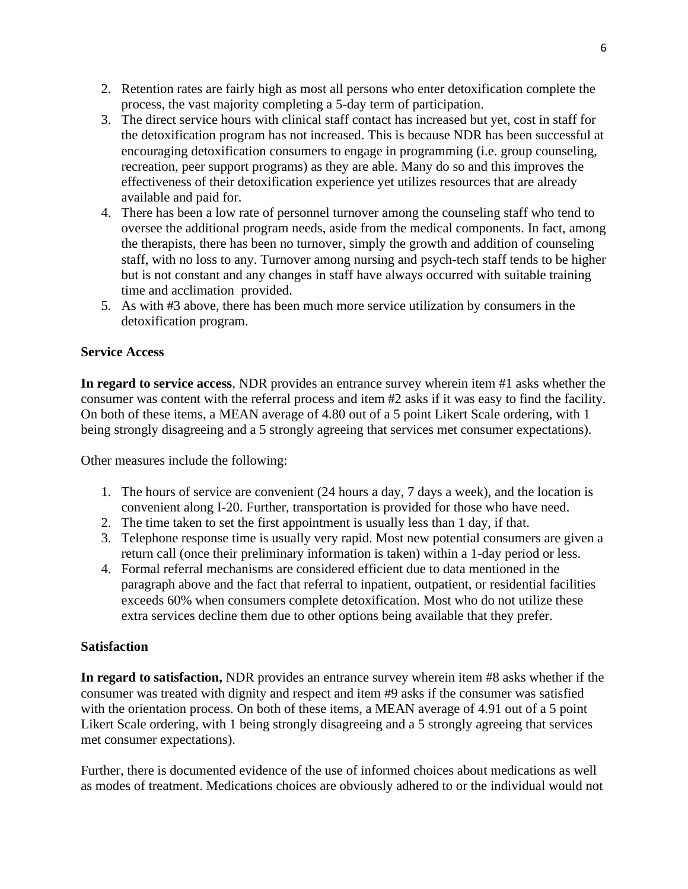- 2. Retention rates are fairly high as most all persons who enter detoxification complete the process, the vast majority completing a 5-day term of participation.
- 3. The direct service hours with clinical staff contact has increased but yet, cost in staff for the detoxification program has not increased. This is because NDR has been successful at encouraging detoxification consumers to engage in programming (i.e. group counseling, recreation, peer support programs) as they are able. Many do so and this improves the effectiveness of their detoxification experience yet utilizes resources that are already available and paid for.
- 4. There has been a low rate of personnel turnover among the counseling staff who tend to oversee the additional program needs, aside from the medical components. In fact, among the therapists, there has been no turnover, simply the growth and addition of counseling staff, with no loss to any. Turnover among nursing and psych-tech staff tends to be higher but is not constant and any changes in staff have always occurred with suitable training time and acclimation provided.
- 5. As with #3 above, there has been much more service utilization by consumers in the detoxification program.

# **Service Access**

**In regard to service access**, NDR provides an entrance survey wherein item #1 asks whether the consumer was content with the referral process and item #2 asks if it was easy to find the facility. On both of these items, a MEAN average of 4.80 out of a 5 point Likert Scale ordering, with 1 being strongly disagreeing and a 5 strongly agreeing that services met consumer expectations).

Other measures include the following:

- 1. The hours of service are convenient (24 hours a day, 7 days a week), and the location is convenient along I-20. Further, transportation is provided for those who have need.
- 2. The time taken to set the first appointment is usually less than 1 day, if that.
- 3. Telephone response time is usually very rapid. Most new potential consumers are given a return call (once their preliminary information is taken) within a 1-day period or less.
- 4. Formal referral mechanisms are considered efficient due to data mentioned in the paragraph above and the fact that referral to inpatient, outpatient, or residential facilities exceeds 60% when consumers complete detoxification. Most who do not utilize these extra services decline them due to other options being available that they prefer.

### **Satisfaction**

**In regard to satisfaction,** NDR provides an entrance survey wherein item #8 asks whether if the consumer was treated with dignity and respect and item #9 asks if the consumer was satisfied with the orientation process. On both of these items, a MEAN average of 4.91 out of a 5 point Likert Scale ordering, with 1 being strongly disagreeing and a 5 strongly agreeing that services met consumer expectations).

Further, there is documented evidence of the use of informed choices about medications as well as modes of treatment. Medications choices are obviously adhered to or the individual would not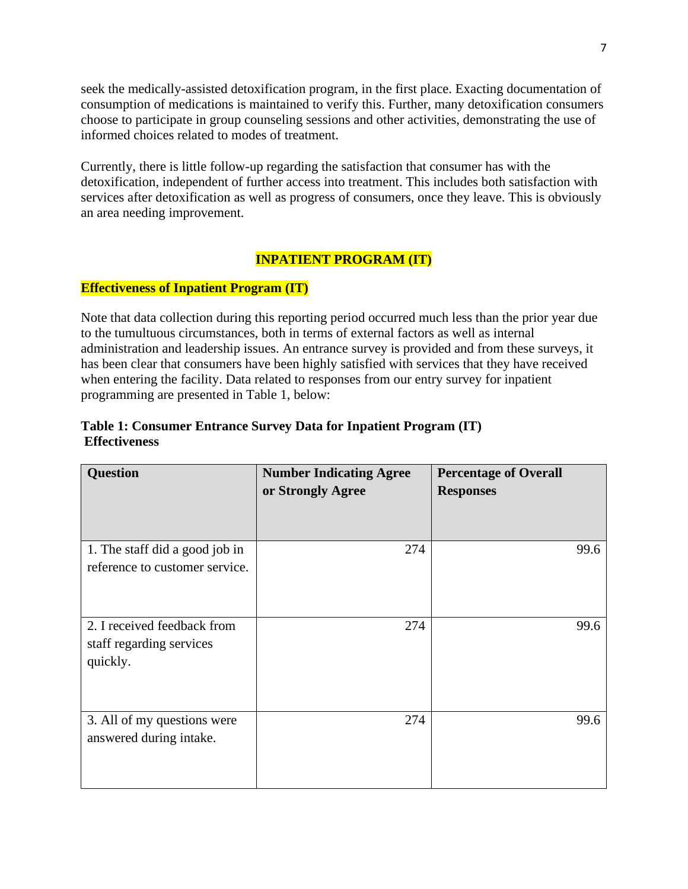seek the medically-assisted detoxification program, in the first place. Exacting documentation of consumption of medications is maintained to verify this. Further, many detoxification consumers choose to participate in group counseling sessions and other activities, demonstrating the use of informed choices related to modes of treatment.

Currently, there is little follow-up regarding the satisfaction that consumer has with the detoxification, independent of further access into treatment. This includes both satisfaction with services after detoxification as well as progress of consumers, once they leave. This is obviously an area needing improvement.

# **INPATIENT PROGRAM (IT)**

# **Effectiveness of Inpatient Program (IT)**

Note that data collection during this reporting period occurred much less than the prior year due to the tumultuous circumstances, both in terms of external factors as well as internal administration and leadership issues. An entrance survey is provided and from these surveys, it has been clear that consumers have been highly satisfied with services that they have received when entering the facility. Data related to responses from our entry survey for inpatient programming are presented in Table 1, below:

# **Table 1: Consumer Entrance Survey Data for Inpatient Program (IT) Effectiveness**

| <b>Question</b>                                                     | <b>Number Indicating Agree</b><br>or Strongly Agree | <b>Percentage of Overall</b><br><b>Responses</b> |
|---------------------------------------------------------------------|-----------------------------------------------------|--------------------------------------------------|
| 1. The staff did a good job in<br>reference to customer service.    | 274                                                 | 99.6                                             |
| 2. I received feedback from<br>staff regarding services<br>quickly. | 274                                                 | 99.6                                             |
| 3. All of my questions were<br>answered during intake.              | 274                                                 | 99.6                                             |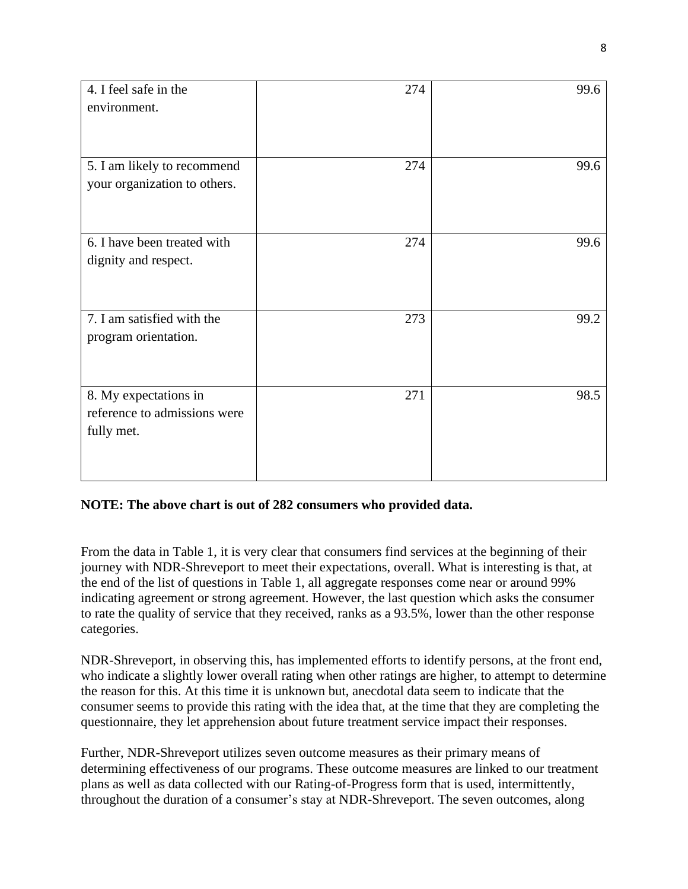| 4. I feel safe in the<br>environment.                 | 274 | 99.6 |
|-------------------------------------------------------|-----|------|
|                                                       |     |      |
|                                                       |     |      |
| 5. I am likely to recommend                           | 274 | 99.6 |
| your organization to others.                          |     |      |
|                                                       |     |      |
| 6. I have been treated with                           | 274 | 99.6 |
| dignity and respect.                                  |     |      |
|                                                       |     |      |
|                                                       |     |      |
| 7. I am satisfied with the                            | 273 | 99.2 |
| program orientation.                                  |     |      |
|                                                       |     |      |
|                                                       |     |      |
| 8. My expectations in<br>reference to admissions were | 271 | 98.5 |
| fully met.                                            |     |      |
|                                                       |     |      |
|                                                       |     |      |
|                                                       |     |      |

### **NOTE: The above chart is out of 282 consumers who provided data.**

From the data in Table 1, it is very clear that consumers find services at the beginning of their journey with NDR-Shreveport to meet their expectations, overall. What is interesting is that, at the end of the list of questions in Table 1, all aggregate responses come near or around 99% indicating agreement or strong agreement. However, the last question which asks the consumer to rate the quality of service that they received, ranks as a 93.5%, lower than the other response categories.

NDR-Shreveport, in observing this, has implemented efforts to identify persons, at the front end, who indicate a slightly lower overall rating when other ratings are higher, to attempt to determine the reason for this. At this time it is unknown but, anecdotal data seem to indicate that the consumer seems to provide this rating with the idea that, at the time that they are completing the questionnaire, they let apprehension about future treatment service impact their responses.

Further, NDR-Shreveport utilizes seven outcome measures as their primary means of determining effectiveness of our programs. These outcome measures are linked to our treatment plans as well as data collected with our Rating-of-Progress form that is used, intermittently, throughout the duration of a consumer's stay at NDR-Shreveport. The seven outcomes, along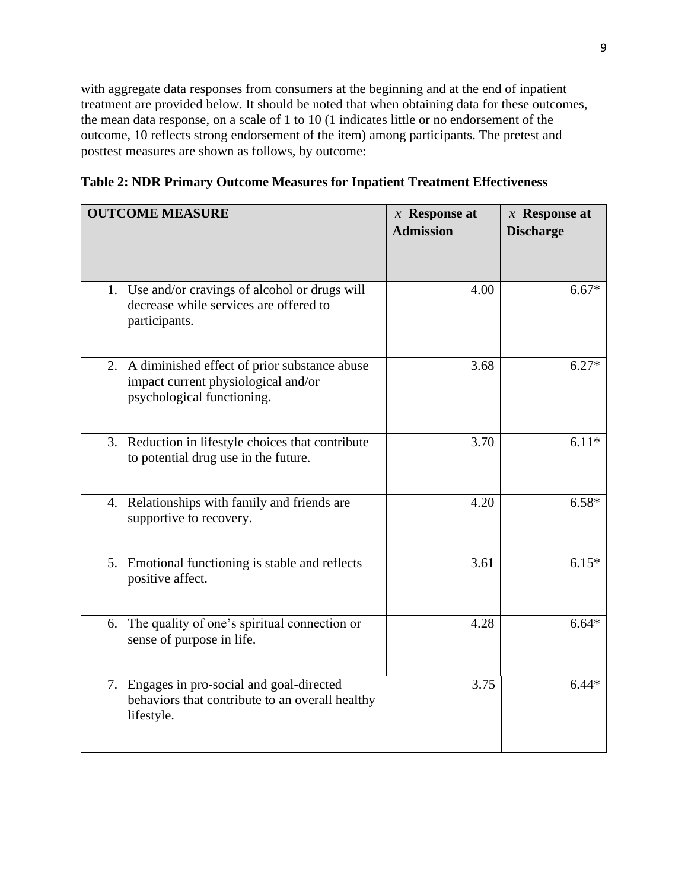with aggregate data responses from consumers at the beginning and at the end of inpatient treatment are provided below. It should be noted that when obtaining data for these outcomes, the mean data response, on a scale of 1 to 10 (1 indicates little or no endorsement of the outcome, 10 reflects strong endorsement of the item) among participants. The pretest and posttest measures are shown as follows, by outcome:

**Table 2: NDR Primary Outcome Measures for Inpatient Treatment Effectiveness**

| <b>OUTCOME MEASURE</b>                                                                                               | $\bar{x}$ Response at<br><b>Admission</b> | $\bar{x}$ Response at<br><b>Discharge</b> |
|----------------------------------------------------------------------------------------------------------------------|-------------------------------------------|-------------------------------------------|
| 1. Use and/or cravings of alcohol or drugs will<br>decrease while services are offered to<br>participants.           | 4.00                                      | $6.67*$                                   |
| 2. A diminished effect of prior substance abuse<br>impact current physiological and/or<br>psychological functioning. | 3.68                                      | $6.27*$                                   |
| 3. Reduction in lifestyle choices that contribute<br>to potential drug use in the future.                            | 3.70                                      | $6.11*$                                   |
| 4. Relationships with family and friends are<br>supportive to recovery.                                              | 4.20                                      | $6.58*$                                   |
| 5. Emotional functioning is stable and reflects<br>positive affect.                                                  | 3.61                                      | $6.15*$                                   |
| 6. The quality of one's spiritual connection or<br>sense of purpose in life.                                         | 4.28                                      | $6.64*$                                   |
| 7. Engages in pro-social and goal-directed<br>behaviors that contribute to an overall healthy<br>lifestyle.          | 3.75                                      | $6.44*$                                   |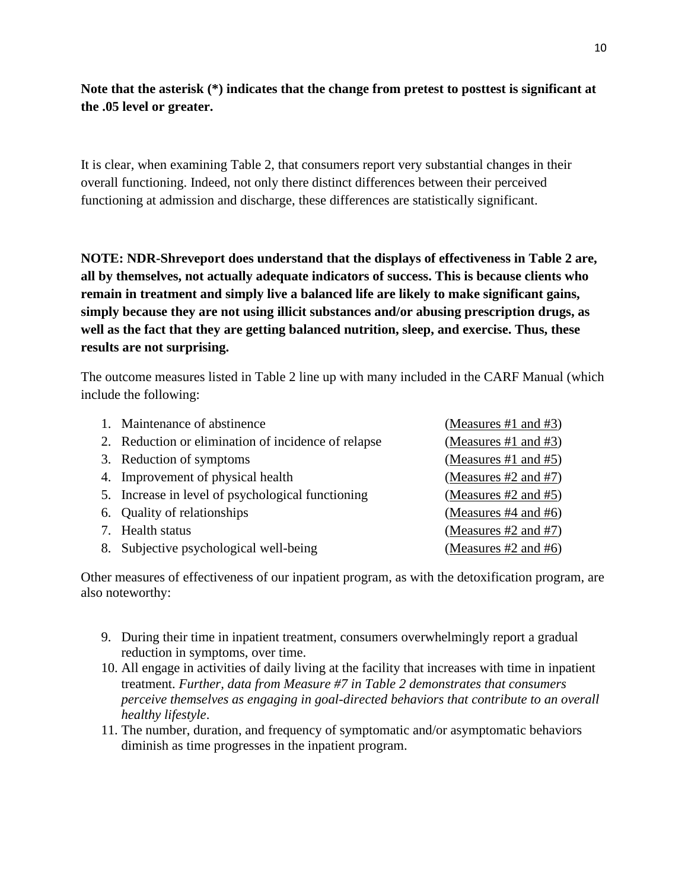# **Note that the asterisk (\*) indicates that the change from pretest to posttest is significant at the .05 level or greater.**

It is clear, when examining Table 2, that consumers report very substantial changes in their overall functioning. Indeed, not only there distinct differences between their perceived functioning at admission and discharge, these differences are statistically significant.

**NOTE: NDR-Shreveport does understand that the displays of effectiveness in Table 2 are, all by themselves, not actually adequate indicators of success. This is because clients who remain in treatment and simply live a balanced life are likely to make significant gains, simply because they are not using illicit substances and/or abusing prescription drugs, as well as the fact that they are getting balanced nutrition, sleep, and exercise. Thus, these results are not surprising.** 

The outcome measures listed in Table 2 line up with many included in the CARF Manual (which include the following:

| 1. Maintenance of abstinence                        | (Measures #1 and #3)      |
|-----------------------------------------------------|---------------------------|
| 2. Reduction or elimination of incidence of relapse | (Measures #1 and $#3$ )   |
| 3. Reduction of symptoms                            | (Measures #1 and #5)      |
| 4. Improvement of physical health                   | (Measures $#2$ and $#7$ ) |
| 5. Increase in level of psychological functioning   | (Measures $#2$ and $#5$ ) |
| 6. Quality of relationships                         | (Measures $#4$ and $#6$ ) |
| 7. Health status                                    | (Measures $#2$ and $#7$ ) |
| 8. Subjective psychological well-being              | (Measures $#2$ and $#6$ ) |

Other measures of effectiveness of our inpatient program, as with the detoxification program, are also noteworthy:

- 9. During their time in inpatient treatment, consumers overwhelmingly report a gradual reduction in symptoms, over time.
- 10. All engage in activities of daily living at the facility that increases with time in inpatient treatment. *Further, data from Measure #7 in Table 2 demonstrates that consumers perceive themselves as engaging in goal-directed behaviors that contribute to an overall healthy lifestyle*.
- 11. The number, duration, and frequency of symptomatic and/or asymptomatic behaviors diminish as time progresses in the inpatient program.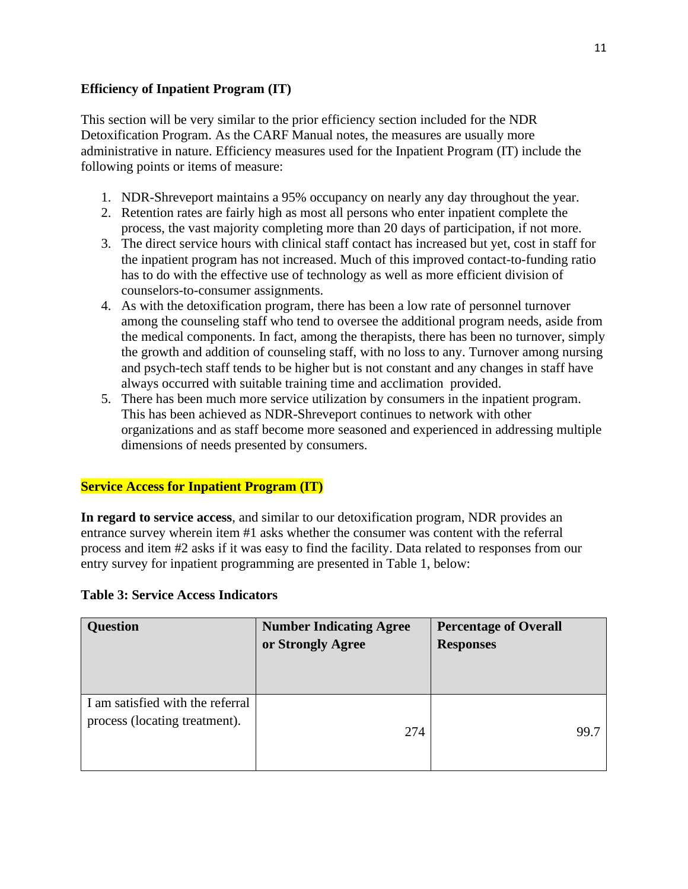# **Efficiency of Inpatient Program (IT)**

This section will be very similar to the prior efficiency section included for the NDR Detoxification Program. As the CARF Manual notes, the measures are usually more administrative in nature. Efficiency measures used for the Inpatient Program (IT) include the following points or items of measure:

- 1. NDR-Shreveport maintains a 95% occupancy on nearly any day throughout the year.
- 2. Retention rates are fairly high as most all persons who enter inpatient complete the process, the vast majority completing more than 20 days of participation, if not more.
- 3. The direct service hours with clinical staff contact has increased but yet, cost in staff for the inpatient program has not increased. Much of this improved contact-to-funding ratio has to do with the effective use of technology as well as more efficient division of counselors-to-consumer assignments.
- 4. As with the detoxification program, there has been a low rate of personnel turnover among the counseling staff who tend to oversee the additional program needs, aside from the medical components. In fact, among the therapists, there has been no turnover, simply the growth and addition of counseling staff, with no loss to any. Turnover among nursing and psych-tech staff tends to be higher but is not constant and any changes in staff have always occurred with suitable training time and acclimation provided.
- 5. There has been much more service utilization by consumers in the inpatient program. This has been achieved as NDR-Shreveport continues to network with other organizations and as staff become more seasoned and experienced in addressing multiple dimensions of needs presented by consumers.

# **Service Access for Inpatient Program (IT)**

**In regard to service access**, and similar to our detoxification program, NDR provides an entrance survey wherein item #1 asks whether the consumer was content with the referral process and item #2 asks if it was easy to find the facility. Data related to responses from our entry survey for inpatient programming are presented in Table 1, below:

| Ouestion | Number Indicati |
|----------|-----------------|

**Table 3: Service Access Indicators**

| <b>Question</b>                                                   | <b>Number Indicating Agree</b><br>or Strongly Agree | <b>Percentage of Overall</b><br><b>Responses</b> |
|-------------------------------------------------------------------|-----------------------------------------------------|--------------------------------------------------|
| I am satisfied with the referral<br>process (locating treatment). | 274                                                 | 99.7                                             |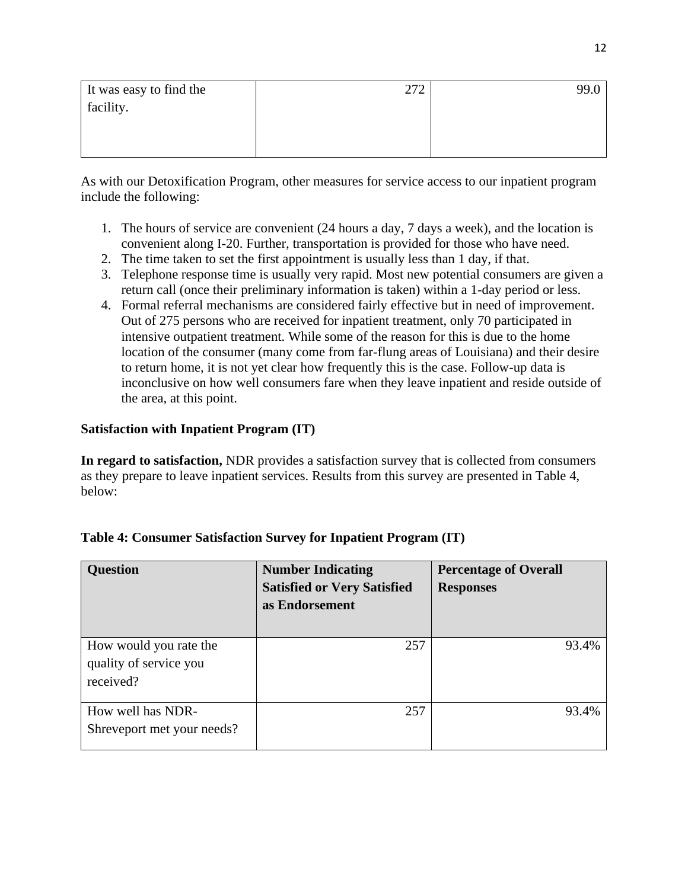| It was easy to find the | 272 | 99.0 |
|-------------------------|-----|------|
| facility.               |     |      |
|                         |     |      |
|                         |     |      |
|                         |     |      |

As with our Detoxification Program, other measures for service access to our inpatient program include the following:

- 1. The hours of service are convenient (24 hours a day, 7 days a week), and the location is convenient along I-20. Further, transportation is provided for those who have need.
- 2. The time taken to set the first appointment is usually less than 1 day, if that.
- 3. Telephone response time is usually very rapid. Most new potential consumers are given a return call (once their preliminary information is taken) within a 1-day period or less.
- 4. Formal referral mechanisms are considered fairly effective but in need of improvement. Out of 275 persons who are received for inpatient treatment, only 70 participated in intensive outpatient treatment. While some of the reason for this is due to the home location of the consumer (many come from far-flung areas of Louisiana) and their desire to return home, it is not yet clear how frequently this is the case. Follow-up data is inconclusive on how well consumers fare when they leave inpatient and reside outside of the area, at this point.

# **Satisfaction with Inpatient Program (IT)**

**In regard to satisfaction,** NDR provides a satisfaction survey that is collected from consumers as they prepare to leave inpatient services. Results from this survey are presented in Table 4, below:

| <b>Question</b>                                               | <b>Number Indicating</b><br><b>Satisfied or Very Satisfied</b><br>as Endorsement | <b>Percentage of Overall</b><br><b>Responses</b> |
|---------------------------------------------------------------|----------------------------------------------------------------------------------|--------------------------------------------------|
| How would you rate the<br>quality of service you<br>received? | 257                                                                              | 93.4%                                            |
| How well has NDR-<br>Shreveport met your needs?               | 257                                                                              | 93.4%                                            |

|  | Table 4: Consumer Satisfaction Survey for Inpatient Program (IT) |  |  |
|--|------------------------------------------------------------------|--|--|
|  |                                                                  |  |  |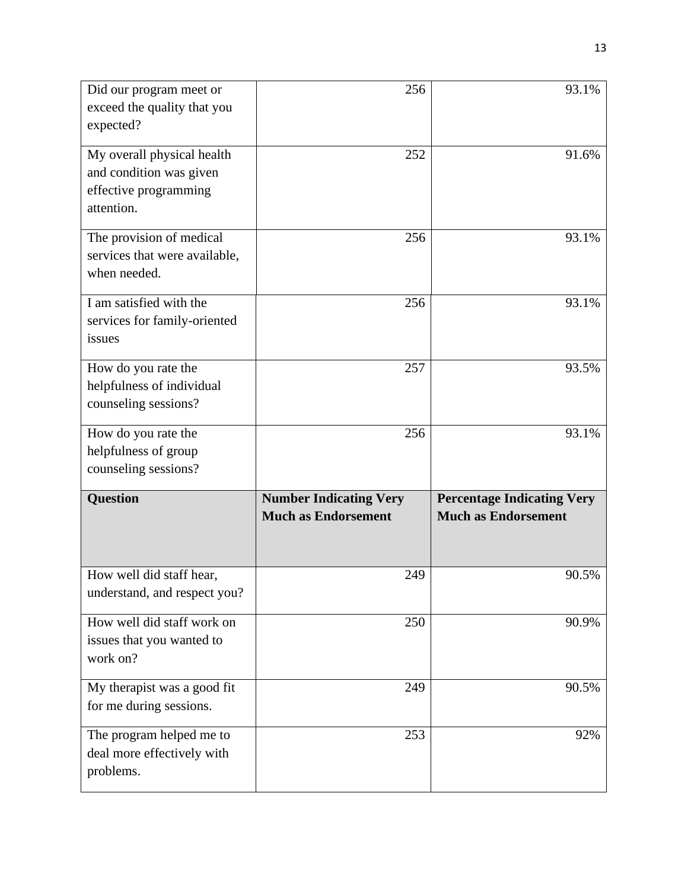| Did our program meet or<br>exceed the quality that you<br>expected?                          | 256                                                         | 93.1%                                                           |
|----------------------------------------------------------------------------------------------|-------------------------------------------------------------|-----------------------------------------------------------------|
| My overall physical health<br>and condition was given<br>effective programming<br>attention. | 252                                                         | 91.6%                                                           |
| The provision of medical<br>services that were available,<br>when needed.                    | 256                                                         | 93.1%                                                           |
| I am satisfied with the<br>services for family-oriented<br>issues                            | 256                                                         | 93.1%                                                           |
| How do you rate the<br>helpfulness of individual<br>counseling sessions?                     | 257                                                         | 93.5%                                                           |
| How do you rate the<br>helpfulness of group<br>counseling sessions?                          | 256                                                         | 93.1%                                                           |
| <b>Question</b>                                                                              | <b>Number Indicating Very</b><br><b>Much as Endorsement</b> | <b>Percentage Indicating Very</b><br><b>Much as Endorsement</b> |
| How well did staff hear,<br>understand, and respect you?                                     | 249                                                         | 90.5%                                                           |
| How well did staff work on<br>issues that you wanted to<br>work on?                          | 250                                                         | 90.9%                                                           |
| My therapist was a good fit<br>for me during sessions.                                       | 249                                                         | 90.5%                                                           |
| The program helped me to<br>deal more effectively with<br>problems.                          | 253                                                         | 92%                                                             |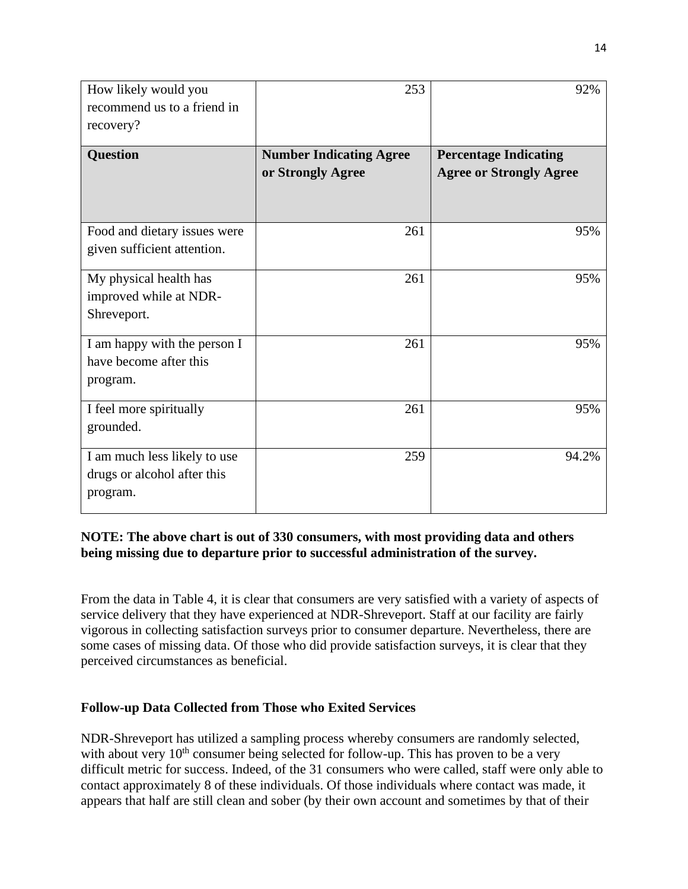| How likely would you<br>recommend us to a friend in<br>recovery?        | 253                                                 | 92%                                                            |
|-------------------------------------------------------------------------|-----------------------------------------------------|----------------------------------------------------------------|
| <b>Question</b>                                                         | <b>Number Indicating Agree</b><br>or Strongly Agree | <b>Percentage Indicating</b><br><b>Agree or Strongly Agree</b> |
|                                                                         |                                                     |                                                                |
| Food and dietary issues were<br>given sufficient attention.             | 261                                                 | 95%                                                            |
| My physical health has<br>improved while at NDR-<br>Shreveport.         | 261                                                 | 95%                                                            |
| I am happy with the person I<br>have become after this<br>program.      | 261                                                 | 95%                                                            |
| I feel more spiritually<br>grounded.                                    | 261                                                 | 95%                                                            |
| I am much less likely to use<br>drugs or alcohol after this<br>program. | 259                                                 | 94.2%                                                          |

# **NOTE: The above chart is out of 330 consumers, with most providing data and others being missing due to departure prior to successful administration of the survey.**

From the data in Table 4, it is clear that consumers are very satisfied with a variety of aspects of service delivery that they have experienced at NDR-Shreveport. Staff at our facility are fairly vigorous in collecting satisfaction surveys prior to consumer departure. Nevertheless, there are some cases of missing data. Of those who did provide satisfaction surveys, it is clear that they perceived circumstances as beneficial.

# **Follow-up Data Collected from Those who Exited Services**

NDR-Shreveport has utilized a sampling process whereby consumers are randomly selected, with about very  $10<sup>th</sup>$  consumer being selected for follow-up. This has proven to be a very difficult metric for success. Indeed, of the 31 consumers who were called, staff were only able to contact approximately 8 of these individuals. Of those individuals where contact was made, it appears that half are still clean and sober (by their own account and sometimes by that of their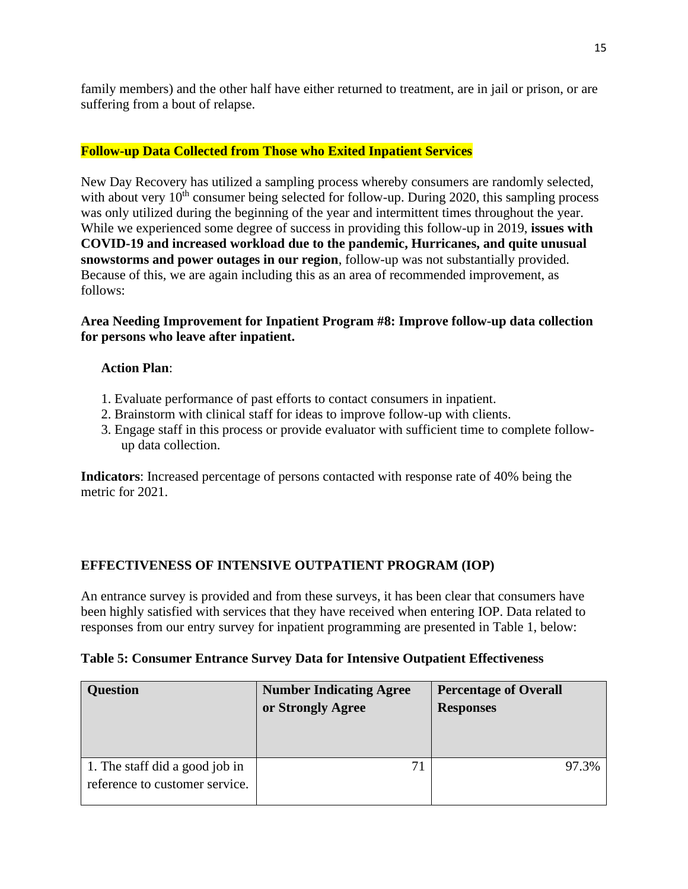family members) and the other half have either returned to treatment, are in jail or prison, or are suffering from a bout of relapse.

### **Follow-up Data Collected from Those who Exited Inpatient Services**

New Day Recovery has utilized a sampling process whereby consumers are randomly selected, with about very  $10<sup>th</sup>$  consumer being selected for follow-up. During 2020, this sampling process was only utilized during the beginning of the year and intermittent times throughout the year. While we experienced some degree of success in providing this follow-up in 2019, **issues with COVID-19 and increased workload due to the pandemic, Hurricanes, and quite unusual snowstorms and power outages in our region**, follow-up was not substantially provided. Because of this, we are again including this as an area of recommended improvement, as follows:

### **Area Needing Improvement for Inpatient Program #8: Improve follow-up data collection for persons who leave after inpatient.**

### **Action Plan**:

- 1. Evaluate performance of past efforts to contact consumers in inpatient.
- 2. Brainstorm with clinical staff for ideas to improve follow-up with clients.
- 3. Engage staff in this process or provide evaluator with sufficient time to complete followup data collection.

**Indicators**: Increased percentage of persons contacted with response rate of 40% being the metric for 2021.

# **EFFECTIVENESS OF INTENSIVE OUTPATIENT PROGRAM (IOP)**

An entrance survey is provided and from these surveys, it has been clear that consumers have been highly satisfied with services that they have received when entering IOP. Data related to responses from our entry survey for inpatient programming are presented in Table 1, below:

### **Table 5: Consumer Entrance Survey Data for Intensive Outpatient Effectiveness**

| <b>Question</b>                                                  | <b>Number Indicating Agree</b><br>or Strongly Agree | <b>Percentage of Overall</b><br><b>Responses</b> |
|------------------------------------------------------------------|-----------------------------------------------------|--------------------------------------------------|
| 1. The staff did a good job in<br>reference to customer service. | 71                                                  | 97.3%                                            |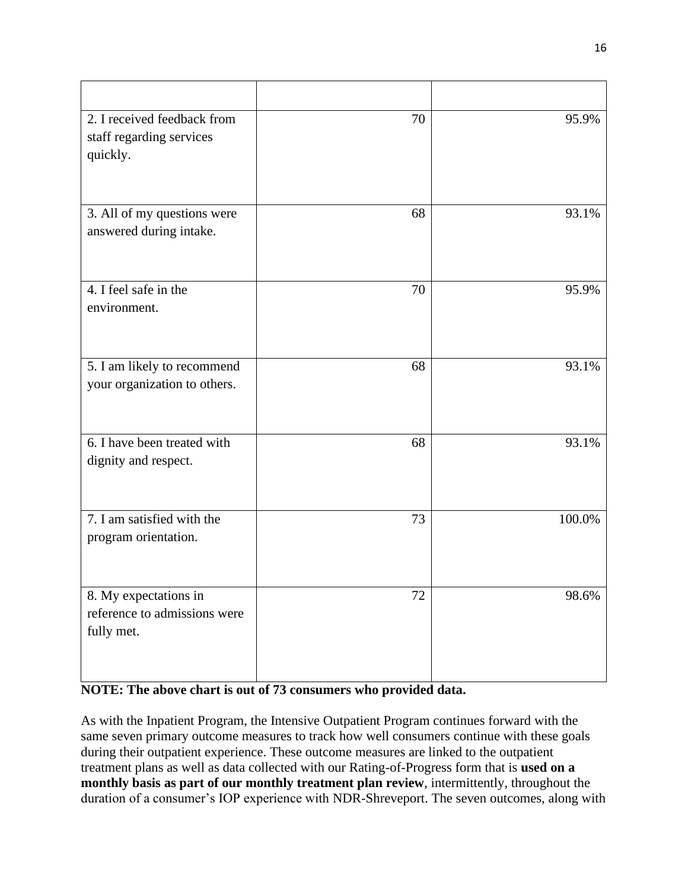| 2. I received feedback from<br>staff regarding services<br>quickly. | 70 | 95.9%  |
|---------------------------------------------------------------------|----|--------|
| 3. All of my questions were<br>answered during intake.              | 68 | 93.1%  |
| 4. I feel safe in the<br>environment.                               | 70 | 95.9%  |
| 5. I am likely to recommend<br>your organization to others.         | 68 | 93.1%  |
| 6. I have been treated with<br>dignity and respect.                 | 68 | 93.1%  |
| 7. I am satisfied with the<br>program orientation.                  | 73 | 100.0% |
| 8. My expectations in<br>reference to admissions were<br>fully met. | 72 | 98.6%  |

# **NOTE: The above chart is out of 73 consumers who provided data.**

As with the Inpatient Program, the Intensive Outpatient Program continues forward with the same seven primary outcome measures to track how well consumers continue with these goals during their outpatient experience. These outcome measures are linked to the outpatient treatment plans as well as data collected with our Rating-of-Progress form that is **used on a monthly basis as part of our monthly treatment plan review**, intermittently, throughout the duration of a consumer's IOP experience with NDR-Shreveport. The seven outcomes, along with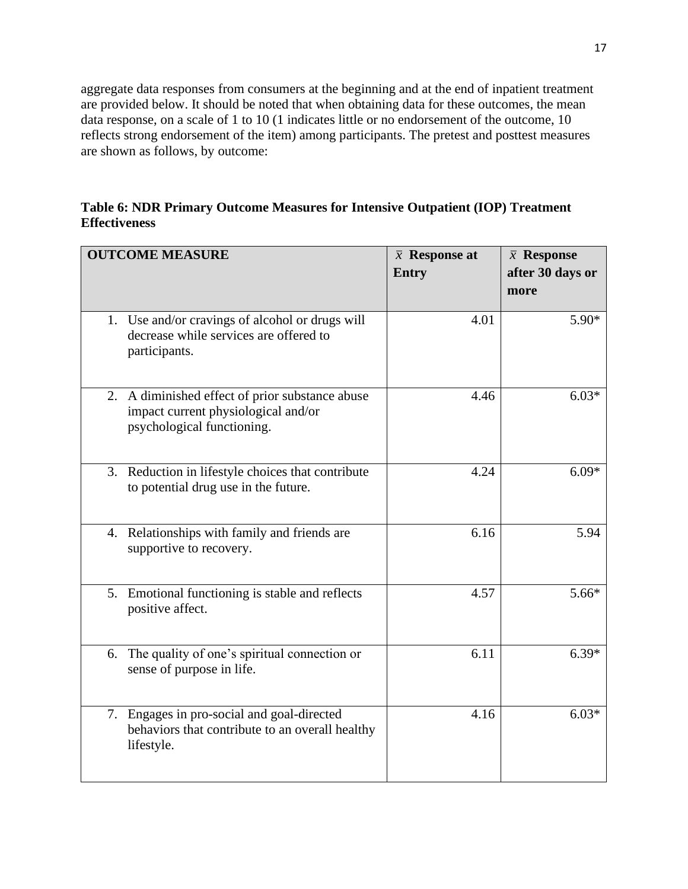aggregate data responses from consumers at the beginning and at the end of inpatient treatment are provided below. It should be noted that when obtaining data for these outcomes, the mean data response, on a scale of 1 to 10 (1 indicates little or no endorsement of the outcome, 10 reflects strong endorsement of the item) among participants. The pretest and posttest measures are shown as follows, by outcome:

# **Table 6: NDR Primary Outcome Measures for Intensive Outpatient (IOP) Treatment Effectiveness**

|    | <b>OUTCOME MEASURE</b>                                                                                               | $\bar{x}$ Response at<br><b>Entry</b> | $\bar{x}$ Response<br>after 30 days or<br>more |
|----|----------------------------------------------------------------------------------------------------------------------|---------------------------------------|------------------------------------------------|
|    | 1. Use and/or cravings of alcohol or drugs will<br>decrease while services are offered to<br>participants.           | 4.01                                  | 5.90*                                          |
|    | 2. A diminished effect of prior substance abuse<br>impact current physiological and/or<br>psychological functioning. | 4.46                                  | $6.03*$                                        |
|    | 3. Reduction in lifestyle choices that contribute<br>to potential drug use in the future.                            | 4.24                                  | $6.09*$                                        |
|    | 4. Relationships with family and friends are<br>supportive to recovery.                                              | 6.16                                  | 5.94                                           |
|    | 5. Emotional functioning is stable and reflects<br>positive affect.                                                  | 4.57                                  | $5.66*$                                        |
| 6. | The quality of one's spiritual connection or<br>sense of purpose in life.                                            | 6.11                                  | $6.39*$                                        |
|    | 7. Engages in pro-social and goal-directed<br>behaviors that contribute to an overall healthy<br>lifestyle.          | 4.16                                  | $6.03*$                                        |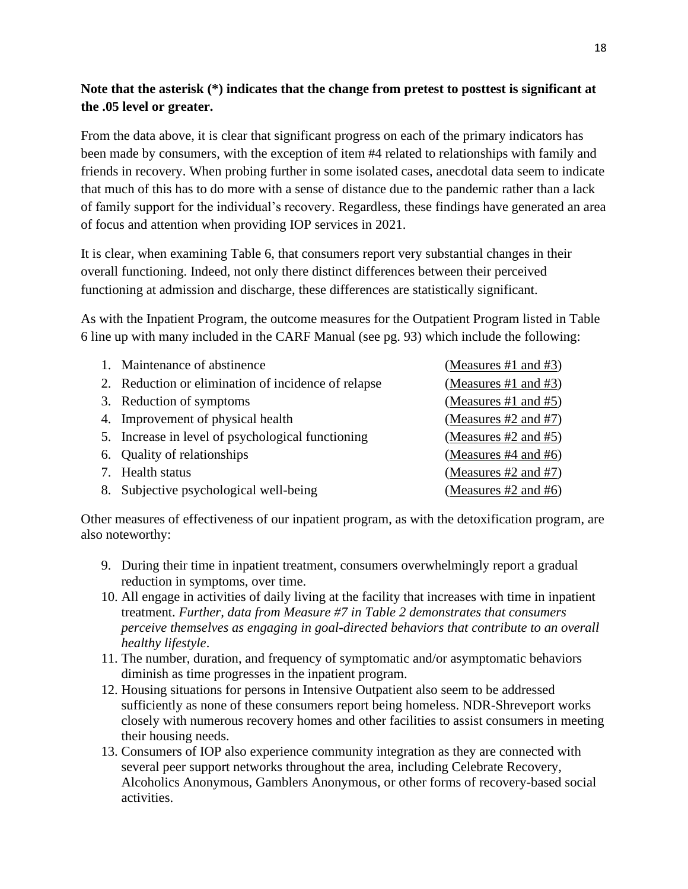# **Note that the asterisk (\*) indicates that the change from pretest to posttest is significant at the .05 level or greater.**

From the data above, it is clear that significant progress on each of the primary indicators has been made by consumers, with the exception of item #4 related to relationships with family and friends in recovery. When probing further in some isolated cases, anecdotal data seem to indicate that much of this has to do more with a sense of distance due to the pandemic rather than a lack of family support for the individual's recovery. Regardless, these findings have generated an area of focus and attention when providing IOP services in 2021.

It is clear, when examining Table 6, that consumers report very substantial changes in their overall functioning. Indeed, not only there distinct differences between their perceived functioning at admission and discharge, these differences are statistically significant.

As with the Inpatient Program, the outcome measures for the Outpatient Program listed in Table 6 line up with many included in the CARF Manual (see pg. 93) which include the following:

| 1. Maintenance of abstinence                        | (Measures #1 and #3)      |
|-----------------------------------------------------|---------------------------|
| 2. Reduction or elimination of incidence of relapse | (Measures #1 and $#3$ )   |
| 3. Reduction of symptoms                            | (Measures #1 and #5)      |
| 4. Improvement of physical health                   | (Measures #2 and #7)      |
| 5. Increase in level of psychological functioning   | (Measures #2 and #5)      |
| 6. Quality of relationships                         | (Measures $#4$ and $#6$ ) |
| 7. Health status                                    | (Measures $#2$ and $#7$ ) |
| 8. Subjective psychological well-being              | (Measures $#2$ and $#6$ ) |

Other measures of effectiveness of our inpatient program, as with the detoxification program, are also noteworthy:

- 9. During their time in inpatient treatment, consumers overwhelmingly report a gradual reduction in symptoms, over time.
- 10. All engage in activities of daily living at the facility that increases with time in inpatient treatment. *Further, data from Measure #7 in Table 2 demonstrates that consumers perceive themselves as engaging in goal-directed behaviors that contribute to an overall healthy lifestyle*.
- 11. The number, duration, and frequency of symptomatic and/or asymptomatic behaviors diminish as time progresses in the inpatient program.
- 12. Housing situations for persons in Intensive Outpatient also seem to be addressed sufficiently as none of these consumers report being homeless. NDR-Shreveport works closely with numerous recovery homes and other facilities to assist consumers in meeting their housing needs.
- 13. Consumers of IOP also experience community integration as they are connected with several peer support networks throughout the area, including Celebrate Recovery, Alcoholics Anonymous, Gamblers Anonymous, or other forms of recovery-based social activities.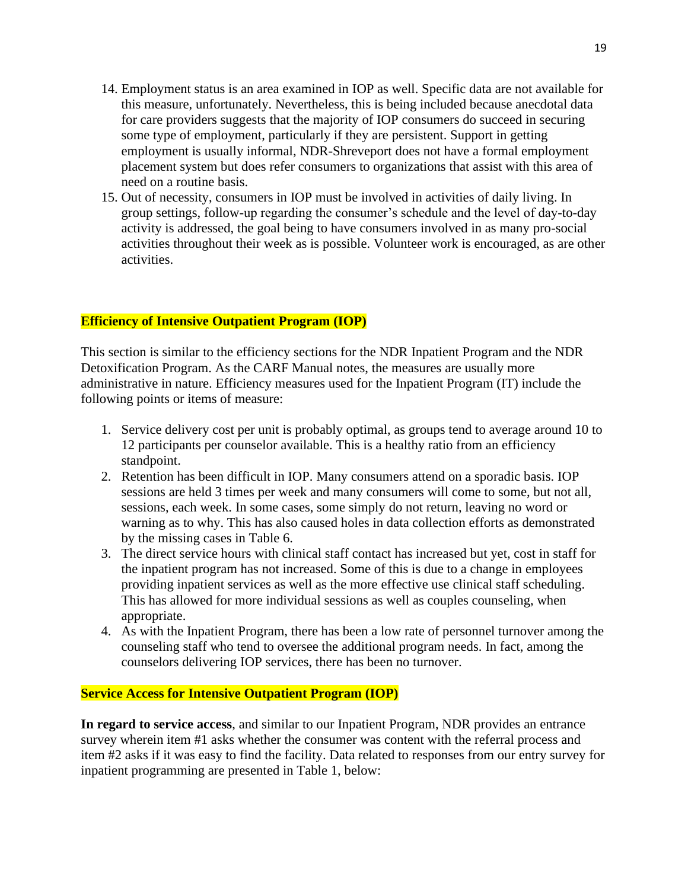- 14. Employment status is an area examined in IOP as well. Specific data are not available for this measure, unfortunately. Nevertheless, this is being included because anecdotal data for care providers suggests that the majority of IOP consumers do succeed in securing some type of employment, particularly if they are persistent. Support in getting employment is usually informal, NDR-Shreveport does not have a formal employment placement system but does refer consumers to organizations that assist with this area of need on a routine basis.
- 15. Out of necessity, consumers in IOP must be involved in activities of daily living. In group settings, follow-up regarding the consumer's schedule and the level of day-to-day activity is addressed, the goal being to have consumers involved in as many pro-social activities throughout their week as is possible. Volunteer work is encouraged, as are other activities.

### **Efficiency of Intensive Outpatient Program (IOP)**

This section is similar to the efficiency sections for the NDR Inpatient Program and the NDR Detoxification Program. As the CARF Manual notes, the measures are usually more administrative in nature. Efficiency measures used for the Inpatient Program (IT) include the following points or items of measure:

- 1. Service delivery cost per unit is probably optimal, as groups tend to average around 10 to 12 participants per counselor available. This is a healthy ratio from an efficiency standpoint.
- 2. Retention has been difficult in IOP. Many consumers attend on a sporadic basis. IOP sessions are held 3 times per week and many consumers will come to some, but not all, sessions, each week. In some cases, some simply do not return, leaving no word or warning as to why. This has also caused holes in data collection efforts as demonstrated by the missing cases in Table 6.
- 3. The direct service hours with clinical staff contact has increased but yet, cost in staff for the inpatient program has not increased. Some of this is due to a change in employees providing inpatient services as well as the more effective use clinical staff scheduling. This has allowed for more individual sessions as well as couples counseling, when appropriate.
- 4. As with the Inpatient Program, there has been a low rate of personnel turnover among the counseling staff who tend to oversee the additional program needs. In fact, among the counselors delivering IOP services, there has been no turnover.

### **Service Access for Intensive Outpatient Program (IOP)**

**In regard to service access**, and similar to our Inpatient Program, NDR provides an entrance survey wherein item #1 asks whether the consumer was content with the referral process and item #2 asks if it was easy to find the facility. Data related to responses from our entry survey for inpatient programming are presented in Table 1, below: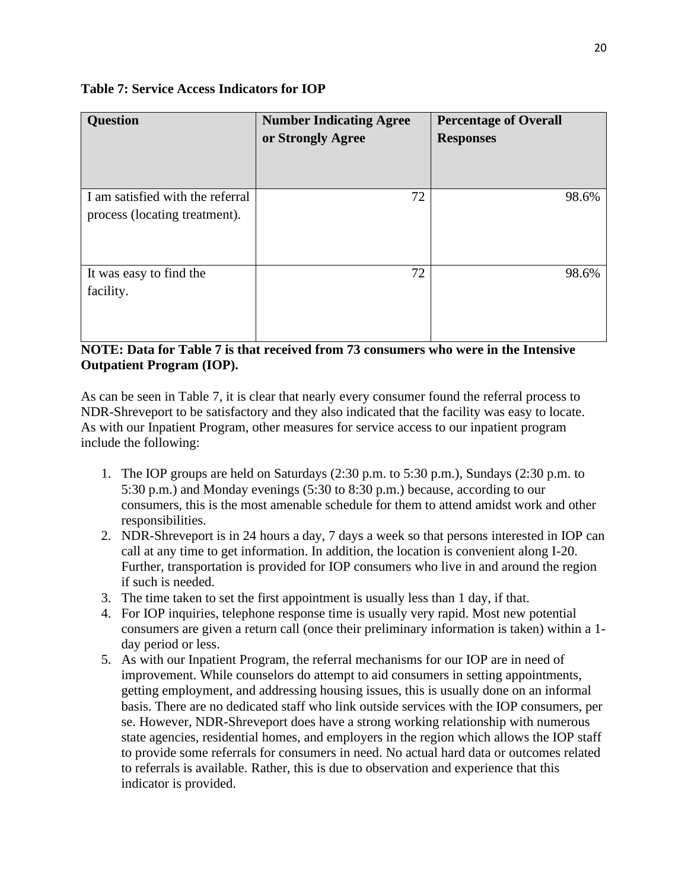| <b>Question</b>                                                   | <b>Number Indicating Agree</b><br>or Strongly Agree | <b>Percentage of Overall</b><br><b>Responses</b> |
|-------------------------------------------------------------------|-----------------------------------------------------|--------------------------------------------------|
| I am satisfied with the referral<br>process (locating treatment). | 72                                                  | 98.6%                                            |
| It was easy to find the<br>facility.                              | 72                                                  | 98.6%                                            |

### **Table 7: Service Access Indicators for IOP**

# **NOTE: Data for Table 7 is that received from 73 consumers who were in the Intensive Outpatient Program (IOP).**

As can be seen in Table 7, it is clear that nearly every consumer found the referral process to NDR-Shreveport to be satisfactory and they also indicated that the facility was easy to locate. As with our Inpatient Program, other measures for service access to our inpatient program include the following:

- 1. The IOP groups are held on Saturdays (2:30 p.m. to 5:30 p.m.), Sundays (2:30 p.m. to 5:30 p.m.) and Monday evenings (5:30 to 8:30 p.m.) because, according to our consumers, this is the most amenable schedule for them to attend amidst work and other responsibilities.
- 2. NDR-Shreveport is in 24 hours a day, 7 days a week so that persons interested in IOP can call at any time to get information. In addition, the location is convenient along I-20. Further, transportation is provided for IOP consumers who live in and around the region if such is needed.
- 3. The time taken to set the first appointment is usually less than 1 day, if that.
- 4. For IOP inquiries, telephone response time is usually very rapid. Most new potential consumers are given a return call (once their preliminary information is taken) within a 1 day period or less.
- 5. As with our Inpatient Program, the referral mechanisms for our IOP are in need of improvement. While counselors do attempt to aid consumers in setting appointments, getting employment, and addressing housing issues, this is usually done on an informal basis. There are no dedicated staff who link outside services with the IOP consumers, per se. However, NDR-Shreveport does have a strong working relationship with numerous state agencies, residential homes, and employers in the region which allows the IOP staff to provide some referrals for consumers in need. No actual hard data or outcomes related to referrals is available. Rather, this is due to observation and experience that this indicator is provided.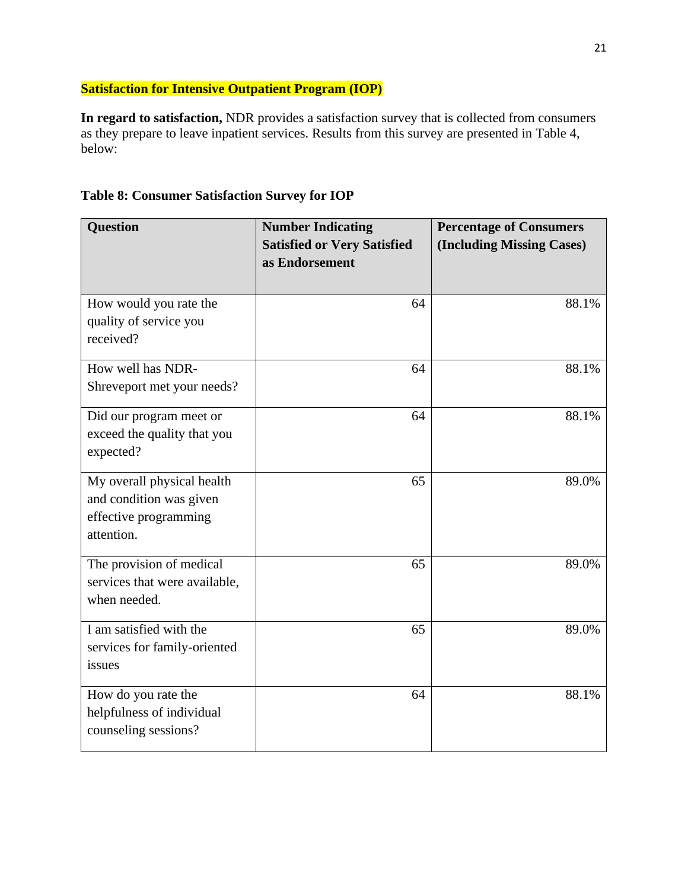# **Satisfaction for Intensive Outpatient Program (IOP)**

**In regard to satisfaction,** NDR provides a satisfaction survey that is collected from consumers as they prepare to leave inpatient services. Results from this survey are presented in Table 4, below:

| <b>Question</b>                                                                              | <b>Number Indicating</b><br><b>Satisfied or Very Satisfied</b><br>as Endorsement | <b>Percentage of Consumers</b><br>(Including Missing Cases) |
|----------------------------------------------------------------------------------------------|----------------------------------------------------------------------------------|-------------------------------------------------------------|
| How would you rate the<br>quality of service you<br>received?                                | 64                                                                               | 88.1%                                                       |
| How well has NDR-<br>Shreveport met your needs?                                              | 64                                                                               | 88.1%                                                       |
| Did our program meet or<br>exceed the quality that you<br>expected?                          | 64                                                                               | 88.1%                                                       |
| My overall physical health<br>and condition was given<br>effective programming<br>attention. | 65                                                                               | 89.0%                                                       |
| The provision of medical<br>services that were available,<br>when needed.                    | 65                                                                               | 89.0%                                                       |
| I am satisfied with the<br>services for family-oriented<br>issues                            | 65                                                                               | 89.0%                                                       |
| How do you rate the<br>helpfulness of individual<br>counseling sessions?                     | 64                                                                               | 88.1%                                                       |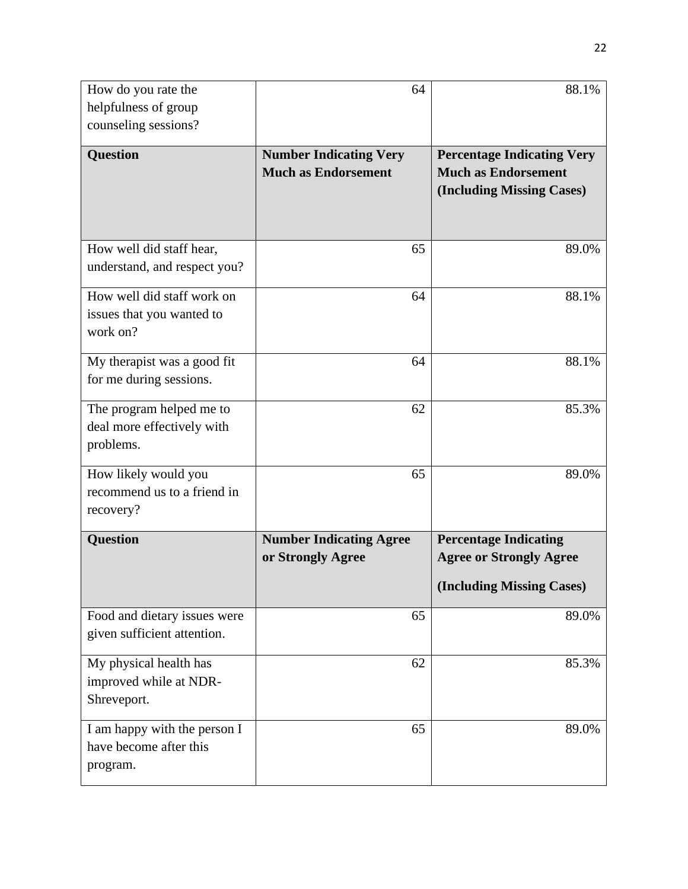| How do you rate the                                 | 64                             | 88.1%                             |
|-----------------------------------------------------|--------------------------------|-----------------------------------|
| helpfulness of group                                |                                |                                   |
| counseling sessions?                                |                                |                                   |
| <b>Question</b>                                     | <b>Number Indicating Very</b>  | <b>Percentage Indicating Very</b> |
|                                                     | <b>Much as Endorsement</b>     | <b>Much as Endorsement</b>        |
|                                                     |                                | (Including Missing Cases)         |
|                                                     |                                |                                   |
|                                                     |                                |                                   |
| How well did staff hear,                            | 65                             | 89.0%                             |
| understand, and respect you?                        |                                |                                   |
| How well did staff work on                          | 64                             | 88.1%                             |
| issues that you wanted to                           |                                |                                   |
| work on?                                            |                                |                                   |
| My therapist was a good fit                         | 64                             | 88.1%                             |
| for me during sessions.                             |                                |                                   |
| The program helped me to                            | 62                             | 85.3%                             |
| deal more effectively with                          |                                |                                   |
| problems.                                           |                                |                                   |
|                                                     |                                |                                   |
| How likely would you<br>recommend us to a friend in | 65                             | 89.0%                             |
| recovery?                                           |                                |                                   |
|                                                     |                                |                                   |
| <b>Question</b>                                     | <b>Number Indicating Agree</b> | <b>Percentage Indicating</b>      |
|                                                     | or Strongly Agree              | <b>Agree or Strongly Agree</b>    |
|                                                     |                                | (Including Missing Cases)         |
| Food and dietary issues were                        | 65                             | 89.0%                             |
| given sufficient attention.                         |                                |                                   |
| My physical health has                              | 62                             | 85.3%                             |
| improved while at NDR-                              |                                |                                   |
| Shreveport.                                         |                                |                                   |
| I am happy with the person I                        | 65                             | 89.0%                             |
| have become after this                              |                                |                                   |
| program.                                            |                                |                                   |
|                                                     |                                |                                   |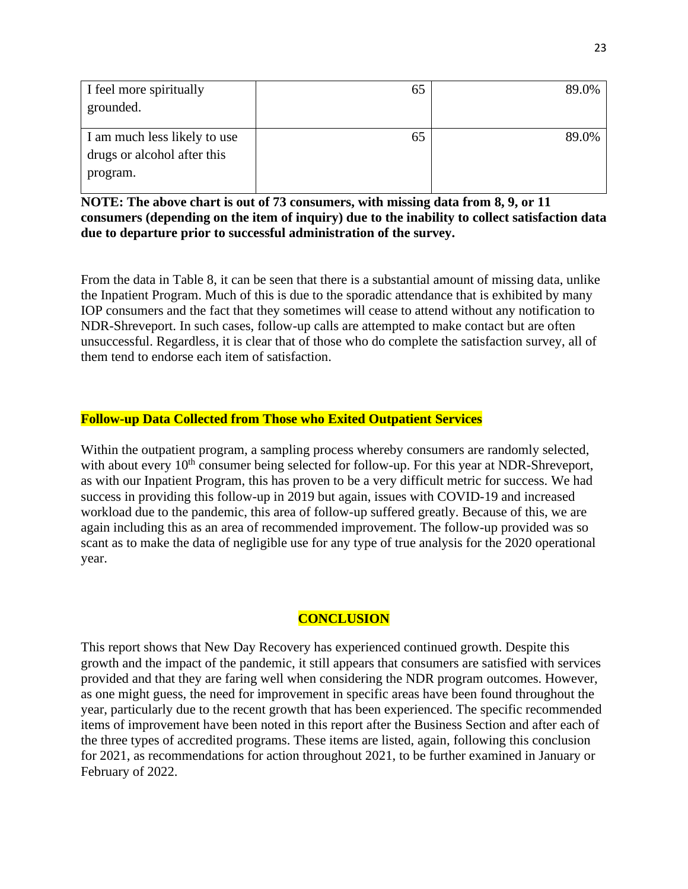| I feel more spiritually      | 65 | 89.0% |
|------------------------------|----|-------|
| grounded.                    |    |       |
|                              |    |       |
| I am much less likely to use | 65 | 89.0% |
| drugs or alcohol after this  |    |       |
| program.                     |    |       |

**NOTE: The above chart is out of 73 consumers, with missing data from 8, 9, or 11 consumers (depending on the item of inquiry) due to the inability to collect satisfaction data due to departure prior to successful administration of the survey.** 

From the data in Table 8, it can be seen that there is a substantial amount of missing data, unlike the Inpatient Program. Much of this is due to the sporadic attendance that is exhibited by many IOP consumers and the fact that they sometimes will cease to attend without any notification to NDR-Shreveport. In such cases, follow-up calls are attempted to make contact but are often unsuccessful. Regardless, it is clear that of those who do complete the satisfaction survey, all of them tend to endorse each item of satisfaction.

# **Follow-up Data Collected from Those who Exited Outpatient Services**

Within the outpatient program, a sampling process whereby consumers are randomly selected, with about every 10<sup>th</sup> consumer being selected for follow-up. For this year at NDR-Shreveport, as with our Inpatient Program, this has proven to be a very difficult metric for success. We had success in providing this follow-up in 2019 but again, issues with COVID-19 and increased workload due to the pandemic, this area of follow-up suffered greatly. Because of this, we are again including this as an area of recommended improvement. The follow-up provided was so scant as to make the data of negligible use for any type of true analysis for the 2020 operational year.

# **CONCLUSION**

This report shows that New Day Recovery has experienced continued growth. Despite this growth and the impact of the pandemic, it still appears that consumers are satisfied with services provided and that they are faring well when considering the NDR program outcomes. However, as one might guess, the need for improvement in specific areas have been found throughout the year, particularly due to the recent growth that has been experienced. The specific recommended items of improvement have been noted in this report after the Business Section and after each of the three types of accredited programs. These items are listed, again, following this conclusion for 2021, as recommendations for action throughout 2021, to be further examined in January or February of 2022.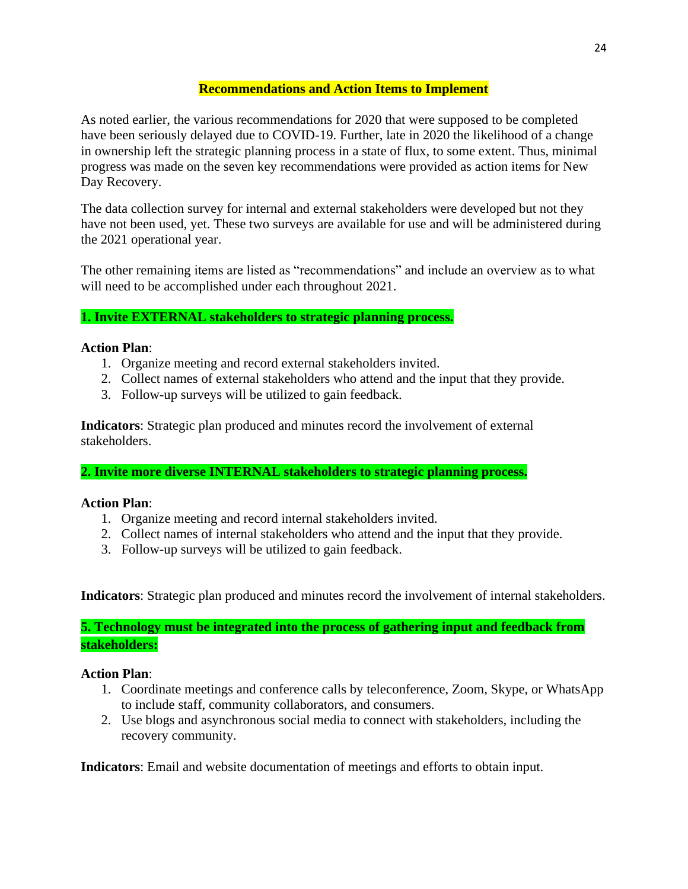### **Recommendations and Action Items to Implement**

As noted earlier, the various recommendations for 2020 that were supposed to be completed have been seriously delayed due to COVID-19. Further, late in 2020 the likelihood of a change in ownership left the strategic planning process in a state of flux, to some extent. Thus, minimal progress was made on the seven key recommendations were provided as action items for New Day Recovery.

The data collection survey for internal and external stakeholders were developed but not they have not been used, yet. These two surveys are available for use and will be administered during the 2021 operational year.

The other remaining items are listed as "recommendations" and include an overview as to what will need to be accomplished under each throughout 2021.

# **1. Invite EXTERNAL stakeholders to strategic planning process.**

### **Action Plan**:

- 1. Organize meeting and record external stakeholders invited.
- 2. Collect names of external stakeholders who attend and the input that they provide.
- 3. Follow-up surveys will be utilized to gain feedback.

**Indicators**: Strategic plan produced and minutes record the involvement of external stakeholders.

**2. Invite more diverse INTERNAL stakeholders to strategic planning process.**

### **Action Plan**:

- 1. Organize meeting and record internal stakeholders invited.
- 2. Collect names of internal stakeholders who attend and the input that they provide.
- 3. Follow-up surveys will be utilized to gain feedback.

**Indicators**: Strategic plan produced and minutes record the involvement of internal stakeholders.

**5. Technology must be integrated into the process of gathering input and feedback from stakeholders:**

### **Action Plan**:

- 1. Coordinate meetings and conference calls by teleconference, Zoom, Skype, or WhatsApp to include staff, community collaborators, and consumers.
- 2. Use blogs and asynchronous social media to connect with stakeholders, including the recovery community.

**Indicators**: Email and website documentation of meetings and efforts to obtain input.